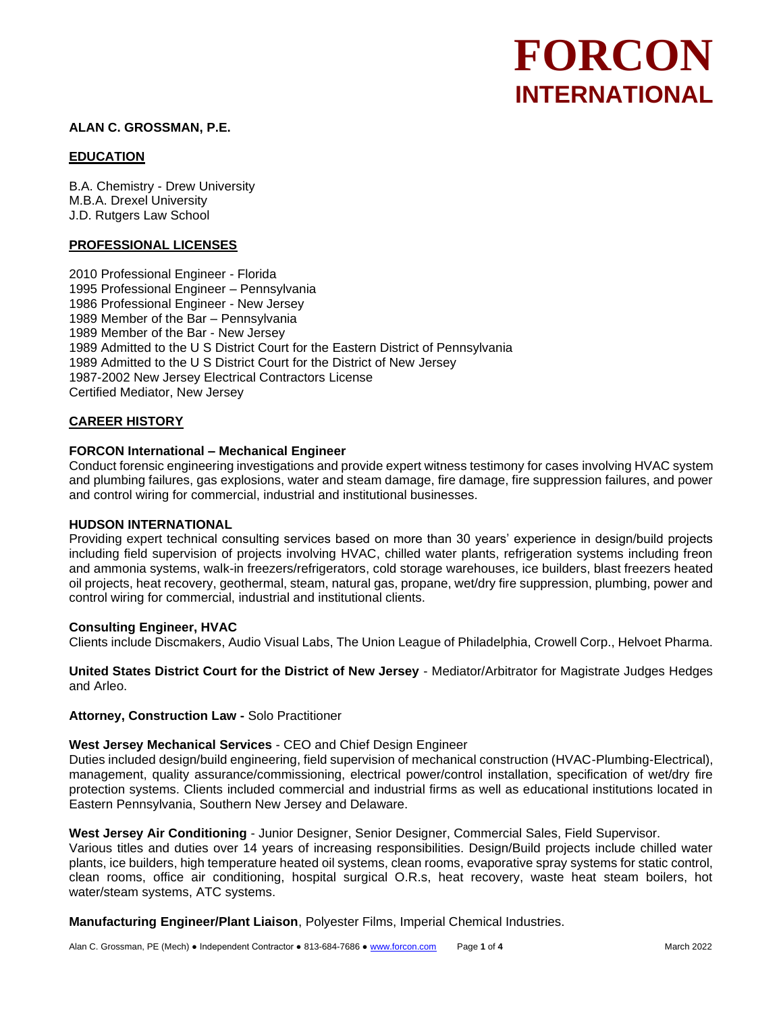# **FORCON INTERNATIONAL**

## **ALAN C. GROSSMAN, P.E.**

## **EDUCATION**

B.A. Chemistry - Drew University M.B.A. Drexel University J.D. Rutgers Law School

## **PROFESSIONAL LICENSES**

2010 Professional Engineer - Florida 1995 Professional Engineer – Pennsylvania 1986 Professional Engineer - New Jersey 1989 Member of the Bar – Pennsylvania 1989 Member of the Bar - New Jersey 1989 Admitted to the U S District Court for the Eastern District of Pennsylvania 1989 Admitted to the U S District Court for the District of New Jersey 1987-2002 New Jersey Electrical Contractors License Certified Mediator, New Jersey

## **CAREER HISTORY**

## **FORCON International – Mechanical Engineer**

Conduct forensic engineering investigations and provide expert witness testimony for cases involving HVAC system and plumbing failures, gas explosions, water and steam damage, fire damage, fire suppression failures, and power and control wiring for commercial, industrial and institutional businesses.

## **HUDSON INTERNATIONAL**

Providing expert technical consulting services based on more than 30 years' experience in design/build projects including field supervision of projects involving HVAC, chilled water plants, refrigeration systems including freon and ammonia systems, walk-in freezers/refrigerators, cold storage warehouses, ice builders, blast freezers heated oil projects, heat recovery, geothermal, steam, natural gas, propane, wet/dry fire suppression, plumbing, power and control wiring for commercial, industrial and institutional clients.

## **Consulting Engineer, HVAC**

Clients include Discmakers, Audio Visual Labs, The Union League of Philadelphia, Crowell Corp., Helvoet Pharma.

**United States District Court for the District of New Jersey** - Mediator/Arbitrator for Magistrate Judges Hedges and Arleo.

#### **Attorney, Construction Law -** Solo Practitioner

## **West Jersey Mechanical Services** - CEO and Chief Design Engineer

Duties included design/build engineering, field supervision of mechanical construction (HVAC-Plumbing-Electrical), management, quality assurance/commissioning, electrical power/control installation, specification of wet/dry fire protection systems. Clients included commercial and industrial firms as well as educational institutions located in Eastern Pennsylvania, Southern New Jersey and Delaware.

#### **West Jersey Air Conditioning** - Junior Designer, Senior Designer, Commercial Sales, Field Supervisor.

Various titles and duties over 14 years of increasing responsibilities. Design/Build projects include chilled water plants, ice builders, high temperature heated oil systems, clean rooms, evaporative spray systems for static control, clean rooms, office air conditioning, hospital surgical O.R.s, heat recovery, waste heat steam boilers, hot water/steam systems, ATC systems.

**Manufacturing Engineer/Plant Liaison**, Polyester Films, Imperial Chemical Industries.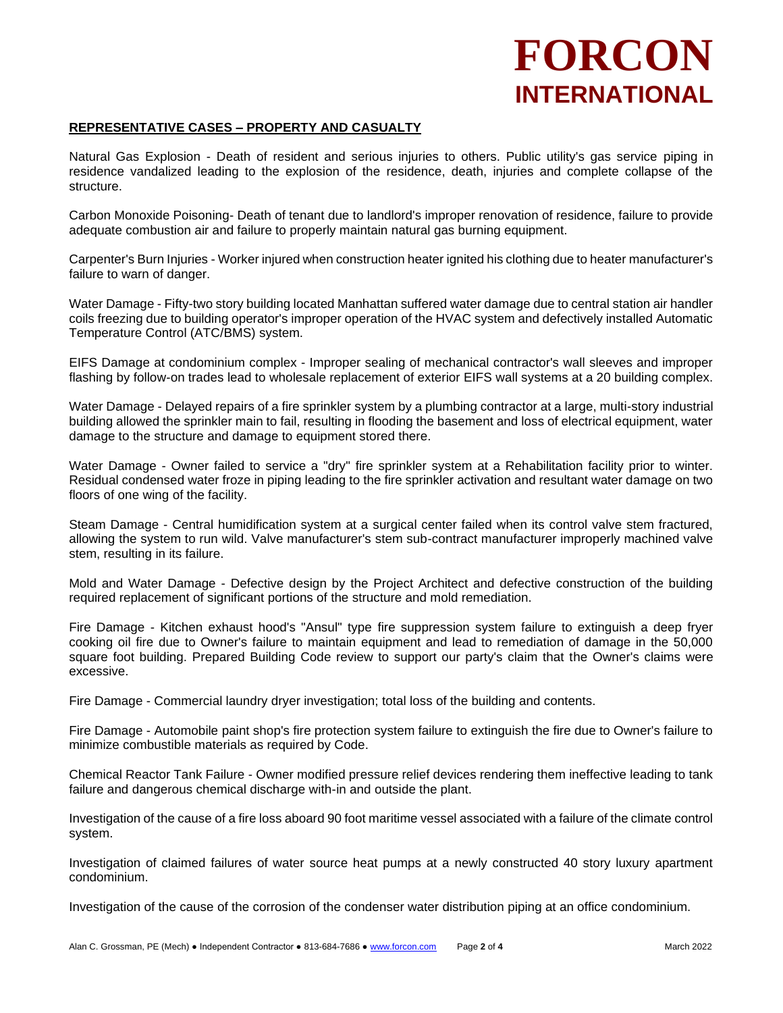# **FORCON INTERNATIONAL**

## **REPRESENTATIVE CASES – PROPERTY AND CASUALTY**

Natural Gas Explosion - Death of resident and serious injuries to others. Public utility's gas service piping in residence vandalized leading to the explosion of the residence, death, injuries and complete collapse of the structure.

Carbon Monoxide Poisoning- Death of tenant due to landlord's improper renovation of residence, failure to provide adequate combustion air and failure to properly maintain natural gas burning equipment.

Carpenter's Burn Injuries - Worker injured when construction heater ignited his clothing due to heater manufacturer's failure to warn of danger.

Water Damage - Fifty-two story building located Manhattan suffered water damage due to central station air handler coils freezing due to building operator's improper operation of the HVAC system and defectively installed Automatic Temperature Control (ATC/BMS) system.

EIFS Damage at condominium complex - Improper sealing of mechanical contractor's wall sleeves and improper flashing by follow-on trades lead to wholesale replacement of exterior EIFS wall systems at a 20 building complex.

Water Damage - Delayed repairs of a fire sprinkler system by a plumbing contractor at a large, multi-story industrial building allowed the sprinkler main to fail, resulting in flooding the basement and loss of electrical equipment, water damage to the structure and damage to equipment stored there.

Water Damage - Owner failed to service a "dry" fire sprinkler system at a Rehabilitation facility prior to winter. Residual condensed water froze in piping leading to the fire sprinkler activation and resultant water damage on two floors of one wing of the facility.

Steam Damage - Central humidification system at a surgical center failed when its control valve stem fractured, allowing the system to run wild. Valve manufacturer's stem sub-contract manufacturer improperly machined valve stem, resulting in its failure.

Mold and Water Damage - Defective design by the Project Architect and defective construction of the building required replacement of significant portions of the structure and mold remediation.

Fire Damage - Kitchen exhaust hood's "Ansul" type fire suppression system failure to extinguish a deep fryer cooking oil fire due to Owner's failure to maintain equipment and lead to remediation of damage in the 50,000 square foot building. Prepared Building Code review to support our party's claim that the Owner's claims were excessive.

Fire Damage - Commercial laundry dryer investigation; total loss of the building and contents.

Fire Damage - Automobile paint shop's fire protection system failure to extinguish the fire due to Owner's failure to minimize combustible materials as required by Code.

Chemical Reactor Tank Failure - Owner modified pressure relief devices rendering them ineffective leading to tank failure and dangerous chemical discharge with-in and outside the plant.

Investigation of the cause of a fire loss aboard 90 foot maritime vessel associated with a failure of the climate control system.

Investigation of claimed failures of water source heat pumps at a newly constructed 40 story luxury apartment condominium.

Investigation of the cause of the corrosion of the condenser water distribution piping at an office condominium.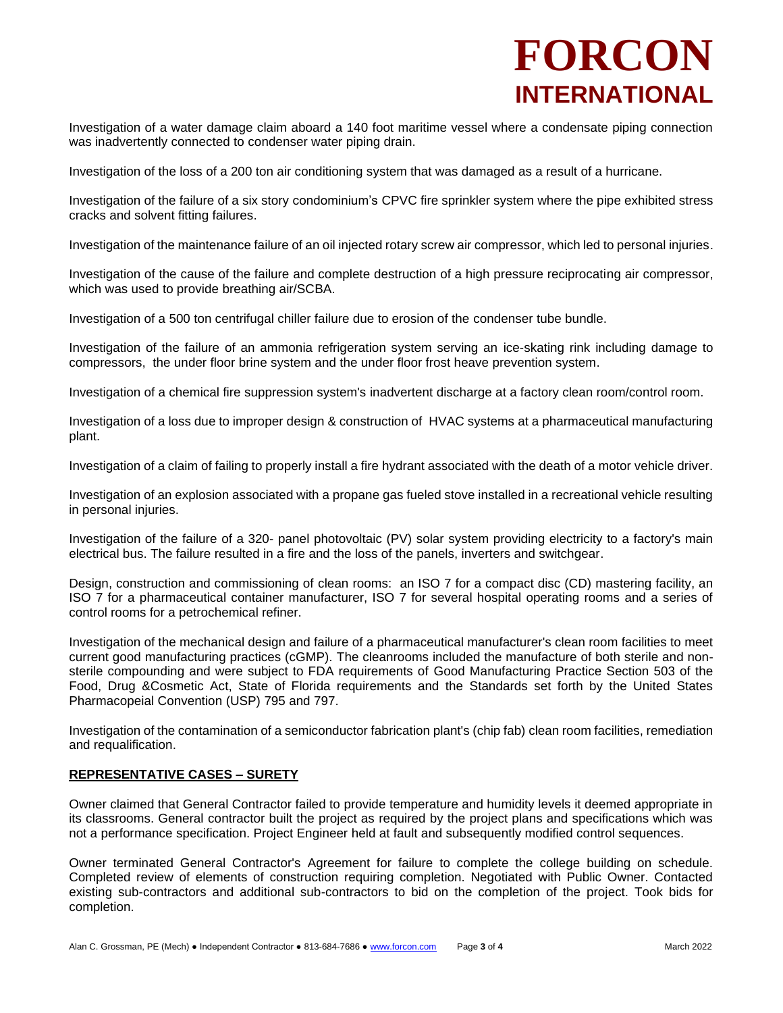# **FORCON INTERNATIONAL**

Investigation of a water damage claim aboard a 140 foot maritime vessel where a condensate piping connection was inadvertently connected to condenser water piping drain.

Investigation of the loss of a 200 ton air conditioning system that was damaged as a result of a hurricane.

Investigation of the failure of a six story condominium's CPVC fire sprinkler system where the pipe exhibited stress cracks and solvent fitting failures.

Investigation of the maintenance failure of an oil injected rotary screw air compressor, which led to personal injuries.

Investigation of the cause of the failure and complete destruction of a high pressure reciprocating air compressor, which was used to provide breathing air/SCBA.

Investigation of a 500 ton centrifugal chiller failure due to erosion of the condenser tube bundle.

Investigation of the failure of an ammonia refrigeration system serving an ice-skating rink including damage to compressors, the under floor brine system and the under floor frost heave prevention system.

Investigation of a chemical fire suppression system's inadvertent discharge at a factory clean room/control room.

Investigation of a loss due to improper design & construction of HVAC systems at a pharmaceutical manufacturing plant.

Investigation of a claim of failing to properly install a fire hydrant associated with the death of a motor vehicle driver.

Investigation of an explosion associated with a propane gas fueled stove installed in a recreational vehicle resulting in personal injuries.

Investigation of the failure of a 320- panel photovoltaic (PV) solar system providing electricity to a factory's main electrical bus. The failure resulted in a fire and the loss of the panels, inverters and switchgear.

Design, construction and commissioning of clean rooms: an ISO 7 for a compact disc (CD) mastering facility, an ISO 7 for a pharmaceutical container manufacturer, ISO 7 for several hospital operating rooms and a series of control rooms for a petrochemical refiner.

Investigation of the mechanical design and failure of a pharmaceutical manufacturer's clean room facilities to meet current good manufacturing practices (cGMP). The cleanrooms included the manufacture of both sterile and nonsterile compounding and were subject to FDA requirements of Good Manufacturing Practice Section 503 of the Food, Drug &Cosmetic Act, State of Florida requirements and the Standards set forth by the United States Pharmacopeial Convention (USP) 795 and 797.

Investigation of the contamination of a semiconductor fabrication plant's (chip fab) clean room facilities, remediation and requalification.

## **REPRESENTATIVE CASES – SURETY**

Owner claimed that General Contractor failed to provide temperature and humidity levels it deemed appropriate in its classrooms. General contractor built the project as required by the project plans and specifications which was not a performance specification. Project Engineer held at fault and subsequently modified control sequences.

Owner terminated General Contractor's Agreement for failure to complete the college building on schedule. Completed review of elements of construction requiring completion. Negotiated with Public Owner. Contacted existing sub-contractors and additional sub-contractors to bid on the completion of the project. Took bids for completion.